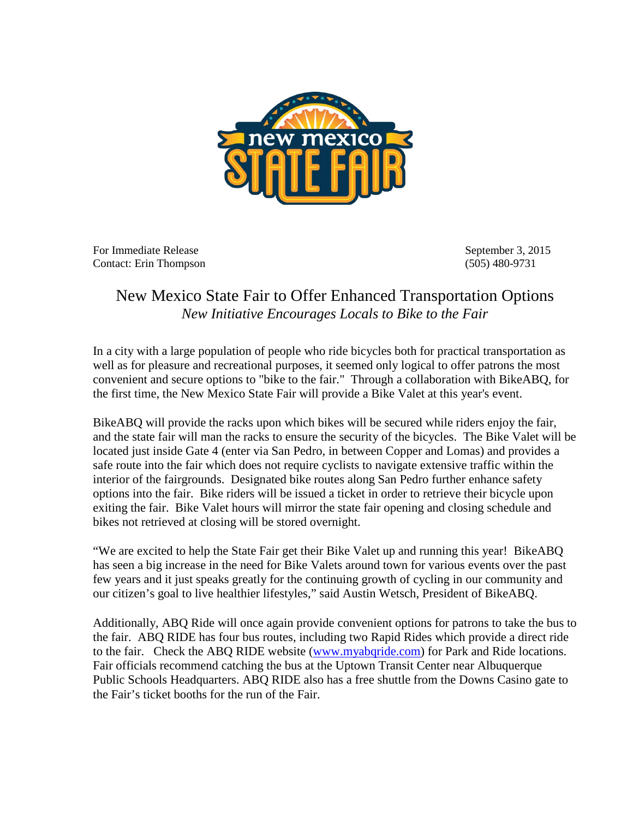

For Immediate Release September 3, 2015 Contact: Erin Thompson (505) 480-9731

## New Mexico State Fair to Offer Enhanced Transportation Options *New Initiative Encourages Locals to Bike to the Fair*

In a city with a large population of people who ride bicycles both for practical transportation as well as for pleasure and recreational purposes, it seemed only logical to offer patrons the most convenient and secure options to "bike to the fair." Through a collaboration with BikeABQ, for the first time, the New Mexico State Fair will provide a Bike Valet at this year's event.

BikeABQ will provide the racks upon which bikes will be secured while riders enjoy the fair, and the state fair will man the racks to ensure the security of the bicycles. The Bike Valet will be located just inside Gate 4 (enter via San Pedro, in between Copper and Lomas) and provides a safe route into the fair which does not require cyclists to navigate extensive traffic within the interior of the fairgrounds. Designated bike routes along San Pedro further enhance safety options into the fair. Bike riders will be issued a ticket in order to retrieve their bicycle upon exiting the fair. Bike Valet hours will mirror the state fair opening and closing schedule and bikes not retrieved at closing will be stored overnight.

"We are excited to help the State Fair get their Bike Valet up and running this year! BikeABQ has seen a big increase in the need for Bike Valets around town for various events over the past few years and it just speaks greatly for the continuing growth of cycling in our community and our citizen's goal to live healthier lifestyles," said Austin Wetsch, President of BikeABQ.

Additionally, ABQ Ride will once again provide convenient options for patrons to take the bus to the fair. ABQ RIDE has four bus routes, including two Rapid Rides which provide a direct ride to the fair. Check the ABQ RIDE website [\(www.myabqride.com\)](http://www.myabqride.com/) for Park and Ride locations. Fair officials recommend catching the bus at the Uptown Transit Center near Albuquerque Public Schools Headquarters. ABQ RIDE also has a free shuttle from the Downs Casino gate to the Fair's ticket booths for the run of the Fair.